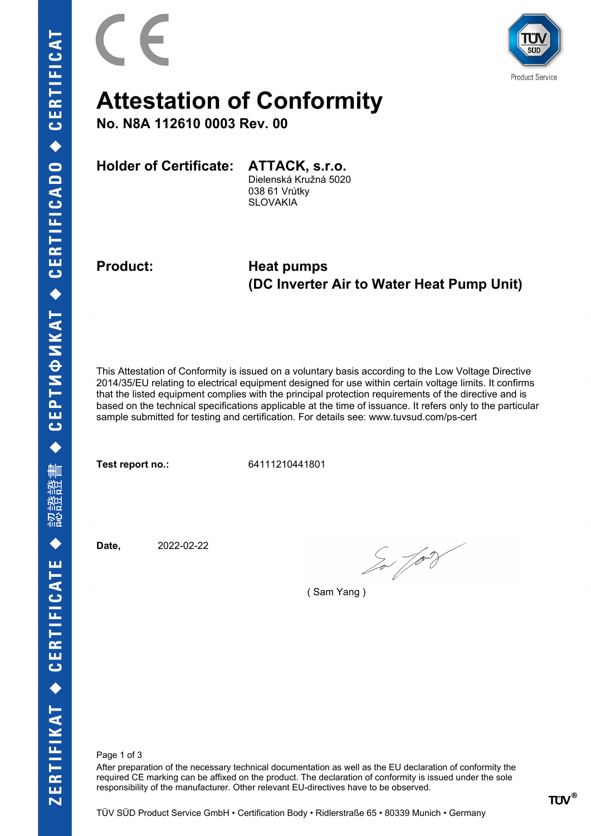

## **Attestation of Conformity**

**No. N8A 112610 0003 Rev. 00**

**Holder of Certificate: ATTACK, s.r.o.**

Dielenská Kružná 5020 038 61 Vrútky **SLOVAKIA** 

**Product: Heat pumps (DC Inverter Air to Water Heat Pump Unit)**

This Attestation of Conformity is issued on a voluntary basis according to the Low Voltage Directive 2014/35/EU relating to electrical equipment designed for use within certain voltage limits. It confirms that the listed equipment complies with the principal protection requirements of the directive and is based on the technical specifications applicable at the time of issuance. It refers only to the particular sample submitted for testing and certification. For details see: www.tuvsud.com/ps-cert

**Test report no.:** 64111210441801

**Date,** 2022-02-22

 $\int_{0}^{\infty}\sqrt{1-\frac{1}{2}}$ 

( Sam Yang )

Page 1 of 3

After preparation of the necessary technical documentation as well as the EU declaration of conformity the required CE marking can be affixed on the product. The declaration of conformity is issued under the sole responsibility of the manufacturer. Other relevant EU-directives have to be observed.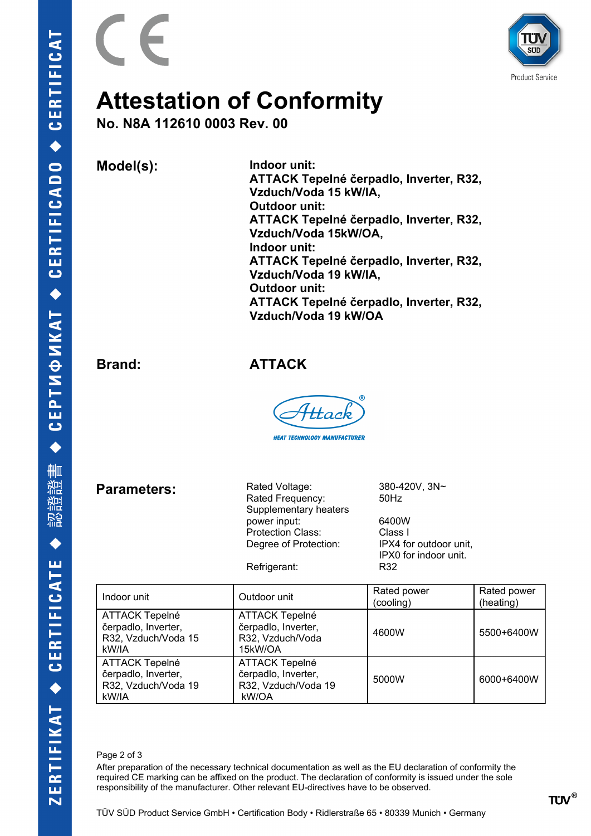



## **Attestation of Conformity**

**No. N8A 112610 0003 Rev. 00**

**Model(s): Indoor unit:** 

**ATTACK Tepelné čerpadlo, Inverter, R32, Vzduch/Voda 15 kW/IA, Outdoor unit: ATTACK Tepelné čerpadlo, Inverter, R32, Vzduch/Voda 15kW/OA, Indoor unit: ATTACK Tepelné čerpadlo, Inverter, R32, Vzduch/Voda 19 kW/IA, Outdoor unit: ATTACK Tepelné čerpadlo, Inverter, R32, Vzduch/Voda 19 kW/OA**

**Brand: ATTACK**

<u> Hac</u>

**HEAT TECHNOLOGY MANUFACTURER** 

**Parameters:**

Rated Frequency: 50Hz Supplementary heaters power input: 6400W Protection Class: Class I Degree of Protection: IPX4 for outdoor unit,

Rated Voltage: 380-420V, 3N~

IPX0 for indoor unit.

| Refrigerant: | R32 |
|--------------|-----|
|              |     |

| Indoor unit                                                                  | Outdoor unit                                                                 | Rated power<br>(cooling) | Rated power<br>(heating) |
|------------------------------------------------------------------------------|------------------------------------------------------------------------------|--------------------------|--------------------------|
| <b>ATTACK Tepelné</b><br>čerpadlo, Inverter,<br>R32, Vzduch/Voda 15<br>kW/IA | <b>ATTACK Tepelné</b><br>čerpadlo, Inverter,<br>R32, Vzduch/Voda<br>15kW/OA  | 4600W                    | 5500+6400W               |
| <b>ATTACK Tepelné</b><br>čerpadlo, Inverter,<br>R32, Vzduch/Voda 19<br>kW/IA | <b>ATTACK Tepelné</b><br>čerpadlo, Inverter,<br>R32, Vzduch/Voda 19<br>kW/OA | 5000W                    | 6000+6400W               |

Page 2 of 3

After preparation of the necessary technical documentation as well as the EU declaration of conformity the required CE marking can be affixed on the product. The declaration of conformity is issued under the sole responsibility of the manufacturer. Other relevant EU-directives have to be observed.